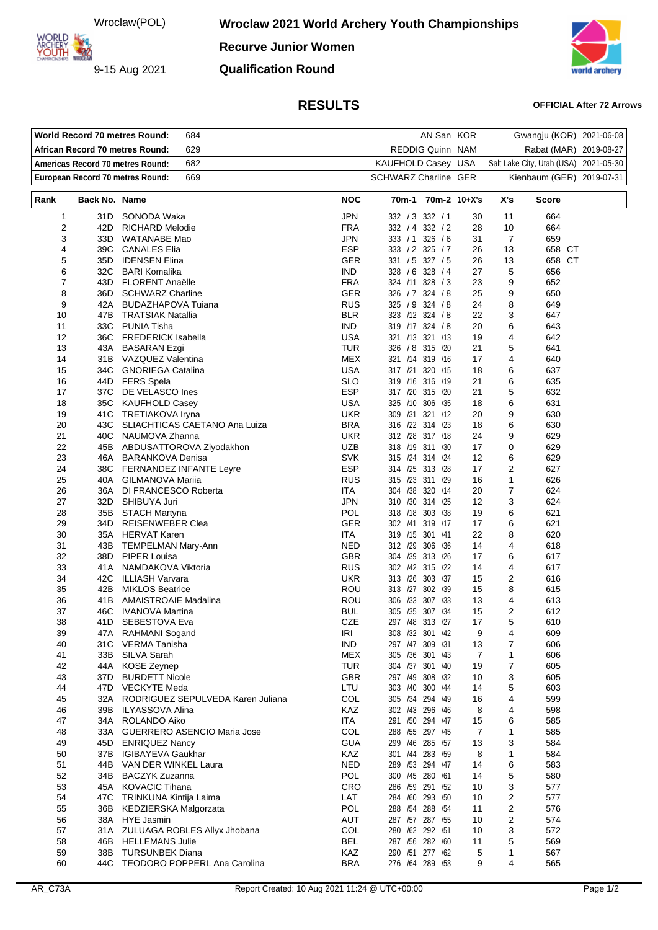Wroclaw(POL)

9-15 Aug 2021

ARCHERY<br>YOUTH

**Wroclaw 2021 World Archery Youth Championships** 

**Recurve Junior Women Qualification Round**



## **RESULTS OFFICIAL After 72 Arrows**

|                                         |               | <b>World Record 70 metres Round:</b><br>684      |                          | AN San KOR                         |          | Gwangju (KOR) 2021-06-08              |               |            |
|-----------------------------------------|---------------|--------------------------------------------------|--------------------------|------------------------------------|----------|---------------------------------------|---------------|------------|
| 629<br>African Record 70 metres Round:  |               |                                                  |                          | REDDIG Quinn NAM                   |          | Rabat (MAR)                           |               | 2019-08-27 |
| Americas Record 70 metres Round:<br>682 |               |                                                  |                          | KAUFHOLD Casey USA                 |          | Salt Lake City, Utah (USA) 2021-05-30 |               |            |
| European Record 70 metres Round:<br>669 |               |                                                  |                          | <b>SCHWARZ Charline GER</b>        |          | Kienbaum (GER) 2019-07-31             |               |            |
|                                         |               |                                                  |                          |                                    |          |                                       |               |            |
| Rank                                    | Back No. Name |                                                  | <b>NOC</b>               | 70m-1 70m-2 10+X's                 |          | X's                                   | <b>Score</b>  |            |
| 1                                       | 31D           | SONODA Waka                                      | JPN                      | 332 / 3 332 / 1                    | 30       | 11                                    | 664           |            |
| 2                                       | 42D           | <b>RICHARD Melodie</b>                           | <b>FRA</b>               | 332 / 4 332 / 2                    | 28       | 10                                    | 664           |            |
| 3                                       | 33D           | WATANABE Mao                                     | <b>JPN</b>               | 333 / 1 326 / 6                    | 31       | $\overline{7}$                        | 659           |            |
| 4                                       | 39C           | <b>CANALES Elia</b>                              | <b>ESP</b>               | 333 / 2 325 / 7                    | 26       | 13                                    | 658 CT        |            |
| 5<br>6                                  | 35D           | <b>IDENSEN Elina</b><br>32C BARI Komalika        | GER<br><b>IND</b>        | 331 / 5 327 / 5<br>328 / 6 328 / 4 | 26<br>27 | 13<br>5                               | 658 CT<br>656 |            |
| 7                                       |               | 43D FLORENT Anaëlle                              | <b>FRA</b>               | 324 /11 328 / 3                    | 23       | 9                                     | 652           |            |
| 8                                       |               | 36D SCHWARZ Charline                             | GER                      | 326 / 7 324 / 8                    | 25       | 9                                     | 650           |            |
| 9                                       | 42A           | <b>BUDAZHAPOVA Tuiana</b>                        | <b>RUS</b>               | 325 / 9 324 / 8                    | 24       | 8                                     | 649           |            |
| 10                                      | 47B           | TRATSIAK Natallia                                | <b>BLR</b>               | 323 /12 324 / 8                    | 22       | 3                                     | 647           |            |
| 11                                      | 33C           | <b>PUNIA Tisha</b>                               | <b>IND</b>               | 319 /17 324 /8                     | 20       | 6                                     | 643           |            |
| 12                                      |               | 36C FREDERICK Isabella                           | USA                      | 321 /13 321 /13                    | 19       | 4                                     | 642           |            |
| 13                                      | 43A           | <b>BASARAN Ezgi</b>                              | TUR                      | 326 / 8 315 / 20                   | 21       | 5                                     | 641           |            |
| 14                                      |               | 31B VAZQUEZ Valentina                            | MEX                      | 321 /14 319 /16                    | 17       | 4                                     | 640           |            |
| 15                                      | 34C           | <b>GNORIEGA Catalina</b>                         | <b>USA</b>               | 317 /21 320 /15                    | 18       | 6                                     | 637           |            |
| 16<br>17                                | 44D<br>37C    | <b>FERS Spela</b><br>DE VELASCO Ines             | <b>SLO</b><br><b>ESP</b> | 319 /16 316 /19<br>317 /20 315 /20 | 21<br>21 | 6<br>5                                | 635<br>632    |            |
| 18                                      |               | 35C KAUFHOLD Casey                               | USA                      | 325 /10 306 /35                    | 18       | 6                                     | 631           |            |
| 19                                      |               | 41C TRETIAKOVA Iryna                             | <b>UKR</b>               | 309 /31 321 /12                    | 20       | 9                                     | 630           |            |
| 20                                      | 43C           | SLIACHTICAS CAETANO Ana Luiza                    | <b>BRA</b>               | 316 /22 314 /23                    | 18       | 6                                     | 630           |            |
| 21                                      | 40C           | NAUMOVA Zhanna                                   | <b>UKR</b>               | 312 /28 317 /18                    | 24       | 9                                     | 629           |            |
| 22                                      |               | 45B ABDUSATTOROVA Ziyodakhon                     | UZB                      | 318 /19 311 /30                    | 17       | 0                                     | 629           |            |
| 23                                      |               | 46A BARANKOVA Denisa                             | <b>SVK</b>               | 315 /24 314 /24                    | 12       | 6                                     | 629           |            |
| 24                                      |               | 38C FERNANDEZ INFANTE Leyre                      | <b>ESP</b>               | 314 /25 313 /28                    | 17       | $\overline{2}$                        | 627           |            |
| 25                                      | 40A           | GILMANOVA Mariia                                 | <b>RUS</b>               | 315 /23 311 /29                    | 16       | 1                                     | 626           |            |
| 26                                      | 36A           | DI FRANCESCO Roberta                             | ITA                      | 304 /38 320 /14                    | 20       | $\overline{7}$                        | 624           |            |
| 27                                      | 32D           | SHIBUYA Juri                                     | JPN                      | 310 /30 314 /25                    | 12       | 3                                     | 624           |            |
| 28<br>29                                | 35B<br>34D    | <b>STACH Martyna</b><br>REISENWEBER Clea         | <b>POL</b><br>GER        | 318 /18 303 /38<br>302 /41 319 /17 | 19<br>17 | 6<br>6                                | 621<br>621    |            |
| 30                                      | 35A           | <b>HERVAT Karen</b>                              | ITA                      | 319 /15 301 /41                    | 22       | 8                                     | 620           |            |
| 31                                      | 43B I         | <b>TEMPELMAN Mary-Ann</b>                        | NED                      | 312 /29 306 /36                    | 14       | $\overline{4}$                        | 618           |            |
| 32                                      | 38D           | PIPER Louisa                                     | <b>GBR</b>               | 304 /39 313 /26                    | 17       | 6                                     | 617           |            |
| 33                                      | 41A           | NAMDAKOVA Viktoria                               | <b>RUS</b>               | 302 /42 315 /22                    | 14       | 4                                     | 617           |            |
| 34                                      | 42C           | ILLIASH Varvara                                  | <b>UKR</b>               | 313 /26 303 /37                    | 15       | $\overline{2}$                        | 616           |            |
| 35                                      | 42B           | <b>MIKLOS Beatrice</b>                           | ROU                      | 313 /27 302 /39                    | 15       | 8                                     | 615           |            |
| 36                                      | 41B           | <b>AMAISTROAIE Madalina</b>                      | ROU                      | 306 /33 307 /33                    | 13       | 4                                     | 613           |            |
| 37                                      | 46C           | IVANOVA Martina                                  | BUL                      | 305 /35 307 /34                    | 15       | $\overline{2}$                        | 612           |            |
| 38<br>39                                | 41D           | SEBESTOVA Eva                                    | CZE<br>IRI               | 297 /48 313 /27<br>308 /32 301 /42 | 17       | 5                                     | 610<br>609    |            |
| 40                                      | 47A<br>31C    | RAHMANI Sogand<br>VERMA Tanisha                  | <b>IND</b>               | 297 /47 309 /31                    | 9<br>13  | 4<br>7                                | 606           |            |
| 41                                      | 33B           | SILVA Sarah                                      | MEX                      | 305 /36 301 /43                    | 7        | 1                                     | 606           |            |
| 42                                      | 44A           | <b>KOSE Zeynep</b>                               | <b>TUR</b>               | 304 /37 301 /40                    | 19       | $\overline{7}$                        | 605           |            |
| 43                                      | 37D           | <b>BURDETT Nicole</b>                            | <b>GBR</b>               | 297 /49 308 /32                    | 10       | 3                                     | 605           |            |
| 44                                      |               | 47D VECKYTE Meda                                 | LTU                      | 303 /40 300 /44                    | 14       | 5                                     | 603           |            |
| 45                                      | 32A           | RODRIGUEZ SEPULVEDA Karen Juliana                | COL                      | 305 /34 294 /49                    | 16       | 4                                     | 599           |            |
| 46                                      | 39B           | ILYASSOVA Alina                                  | KAZ                      | 302 /43 296 /46                    | 8        | 4                                     | 598           |            |
| 47                                      | 34A           | ROLANDO Aiko                                     | ITA                      | 291 /50 294 /47                    | 15       | 6                                     | 585           |            |
| 48                                      | 33A           | <b>GUERRERO ASENCIO Maria Jose</b>               | COL                      | 288 /55 297 /45                    | 7        | $\mathbf{1}$                          | 585           |            |
| 49                                      | 45D           | <b>ENRIQUEZ Nancy</b>                            | GUA<br>KAZ               | 299 /46 285 /57<br>301 /44 283 /59 | 13       | 3                                     | 584<br>584    |            |
| 50<br>51                                | 37B<br>44B    | <b>IGIBAYEVA Gaukhar</b><br>VAN DER WINKEL Laura | NED                      | 289 /53 294 /47                    | 8<br>14  | 1<br>6                                | 583           |            |
| 52                                      | 34B           | <b>BACZYK Zuzanna</b>                            | <b>POL</b>               | 300 /45 280 /61                    | 14       | 5                                     | 580           |            |
| 53                                      | 45A           | <b>KOVACIC Tihana</b>                            | <b>CRO</b>               | 286 /59 291 /52                    | 10       | 3                                     | 577           |            |
| 54                                      | 47C           | TRINKUNA Kintija Laima                           | LAT                      | 284 /60 293 /50                    | 10       | $\overline{2}$                        | 577           |            |
| 55                                      | 36B           | KEDZIERSKA Malgorzata                            | POL                      | 288 /54 288 /54                    | 11       | $\overline{2}$                        | 576           |            |
| 56                                      | 38A           | HYE Jasmin                                       | AUT                      | 287 /57 287 /55                    | 10       | 2                                     | 574           |            |
| 57                                      | 31 A          | ZULUAGA ROBLES Allyx Jhobana                     | COL                      | 280 /62 292 /51                    | 10       | 3                                     | 572           |            |
| 58                                      | 46B           | <b>HELLEMANS Julie</b>                           | <b>BEL</b>               | 287 /56 282 /60                    | 11       | 5                                     | 569           |            |
| 59                                      | 38B           | <b>TURSUNBEK Diana</b>                           | KAZ                      | 290 /51 277 /62                    | 5        | 1                                     | 567           |            |
| 60                                      | 44C           | TEODORO POPPERL Ana Carolina                     | <b>BRA</b>               | 276 /64 289 /53                    | 9        | 4                                     | 565           |            |